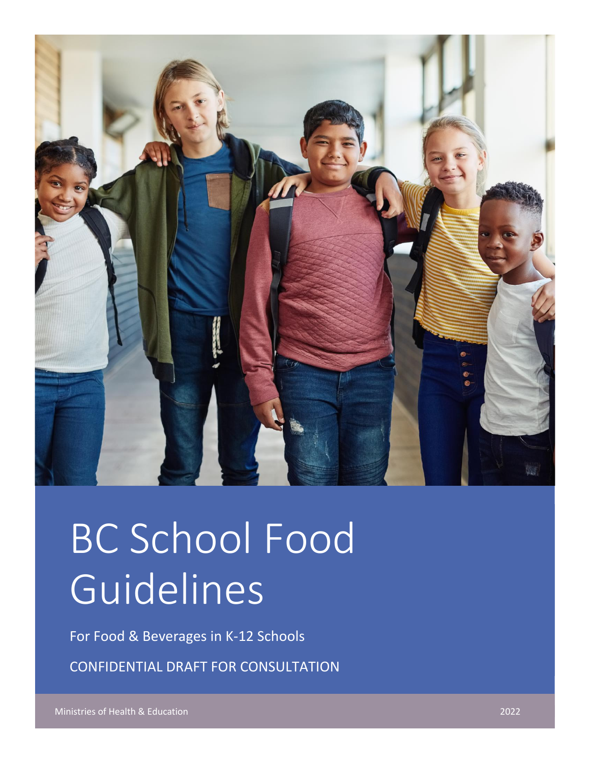

# BC School Food Guidelines

For Food & Beverages in K-12 Schools

CONFIDENTIAL DRAFT FOR CONSULTATION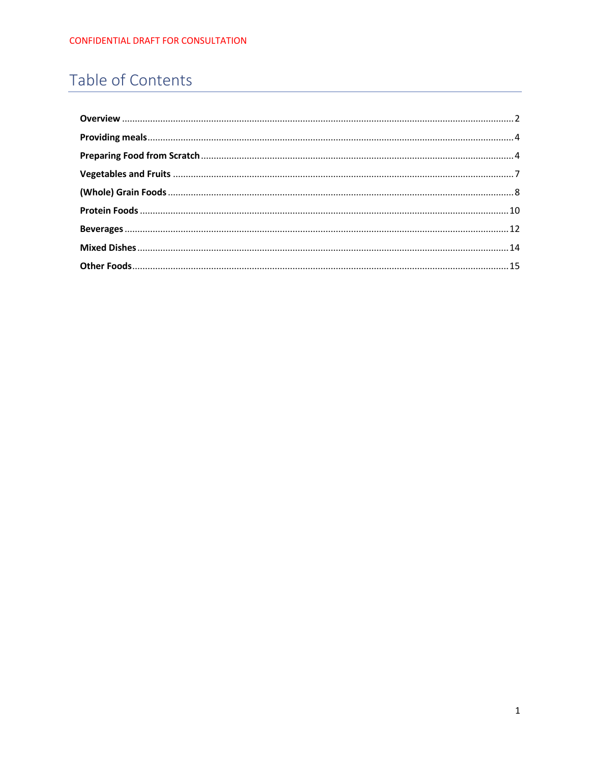# Table of Contents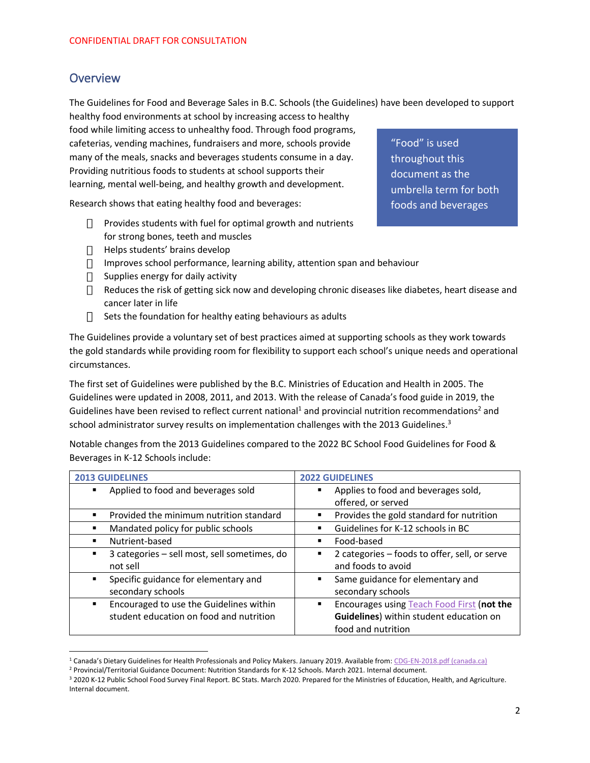#### <span id="page-2-0"></span>**Overview**

The Guidelines for Food and Beverage Sales in B.C. Schools (the Guidelines) have been developed to support healthy food environments at school by increasing access to healthy

food while limiting access to unhealthy food. Through food programs, cafeterias, vending machines, fundraisers and more, schools provide many of the meals, snacks and beverages students consume in a day. Providing nutritious foods to students at school supports their learning, mental well-being, and healthy growth and development.

Research shows that eating healthy food and beverages:

- $\Box$  Provides students with fuel for optimal growth and nutrients for strong bones, teeth and muscles
- $\Box$  Helps students' brains develop
- Improves school performance, learning ability, attention span and behaviour
- $\Box$  Supplies energy for daily activity
- $\Box$  Reduces the risk of getting sick now and developing chronic diseases like diabetes, heart disease and cancer later in life
- $\Box$  Sets the foundation for healthy eating behaviours as adults

The Guidelines provide a voluntary set of best practices aimed at supporting schools as they work towards the gold standards while providing room for flexibility to support each school's unique needs and operational circumstances.

The first set of Guidelines were published by the B.C. Ministries of Education and Health in 2005. The Guidelines were updated in 2008, 2011, and 2013. With the release of Canada's food guide in 2019, the Guidelines have been revised to reflect current national<sup>1</sup> and provincial nutrition recommendations<sup>2</sup> and school administrator survey results on implementation challenges with the 2013 Guidelines.<sup>3</sup>

Notable changes from the 2013 Guidelines compared to the 2022 BC School Food Guidelines for Food & Beverages in K-12 Schools include:

| <b>2013 GUIDELINES</b>                       | <b>2022 GUIDELINES</b>                             |
|----------------------------------------------|----------------------------------------------------|
| Applied to food and beverages sold<br>٠      | Applies to food and beverages sold,<br>٠           |
|                                              | offered, or served                                 |
| Provided the minimum nutrition standard      | Provides the gold standard for nutrition<br>٠      |
| Mandated policy for public schools           | Guidelines for K-12 schools in BC                  |
| Nutrient-based<br>٠                          | Food-based<br>٠                                    |
| 3 categories – sell most, sell sometimes, do | 2 categories - foods to offer, sell, or serve<br>٠ |
| not sell                                     | and foods to avoid                                 |
| Specific guidance for elementary and         | Same guidance for elementary and<br>٠              |
| secondary schools                            | secondary schools                                  |
| Encouraged to use the Guidelines within<br>٠ | Encourages using Teach Food First (not the<br>٠    |
| student education on food and nutrition      | Guidelines) within student education on            |
|                                              | food and nutrition                                 |

<sup>&</sup>lt;sup>1</sup> Canada's Dietary Guidelines for Health Professionals and Policy Makers. January 2019. Available from[: CDG-EN-2018.pdf \(canada.ca\)](https://food-guide.canada.ca/sites/default/files/artifact-pdf/CDG-EN-2018.pdf)

"Food" is used throughout this document as the umbrella term for both foods and beverages

<sup>2</sup> Provincial/Territorial Guidance Document: Nutrition Standards for K-12 Schools. March 2021. Internal document.

<sup>&</sup>lt;sup>3</sup> 2020 K-12 Public School Food Survey Final Report. BC Stats. March 2020. Prepared for the Ministries of Education, Health, and Agriculture. Internal document.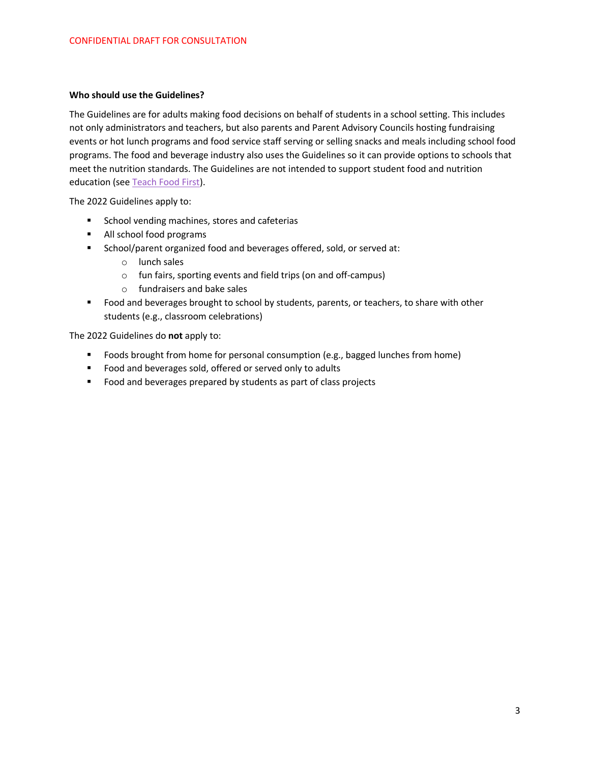#### **Who should use the Guidelines?**

The Guidelines are for adults making food decisions on behalf of students in a school setting. This includes not only administrators and teachers, but also parents and Parent Advisory Councils hosting fundraising events or hot lunch programs and food service staff serving or selling snacks and meals including school food programs. The food and beverage industry also uses the Guidelines so it can provide options to schools that meet the nutrition standards. The Guidelines are not intended to support student food and nutrition education (see [Teach Food First\)](http://www.teachfoodfirst.ca/).

The 2022 Guidelines apply to:

- School vending machines, stores and cafeterias
- All school food programs
- School/parent organized food and beverages offered, sold, or served at:
	- o lunch sales
	- o fun fairs, sporting events and field trips (on and off-campus)
	- o fundraisers and bake sales
- Food and beverages brought to school by students, parents, or teachers, to share with other students (e.g., classroom celebrations)

The 2022 Guidelines do **not** apply to:

- Foods brought from home for personal consumption (e.g., bagged lunches from home)
- Food and beverages sold, offered or served only to adults
- Food and beverages prepared by students as part of class projects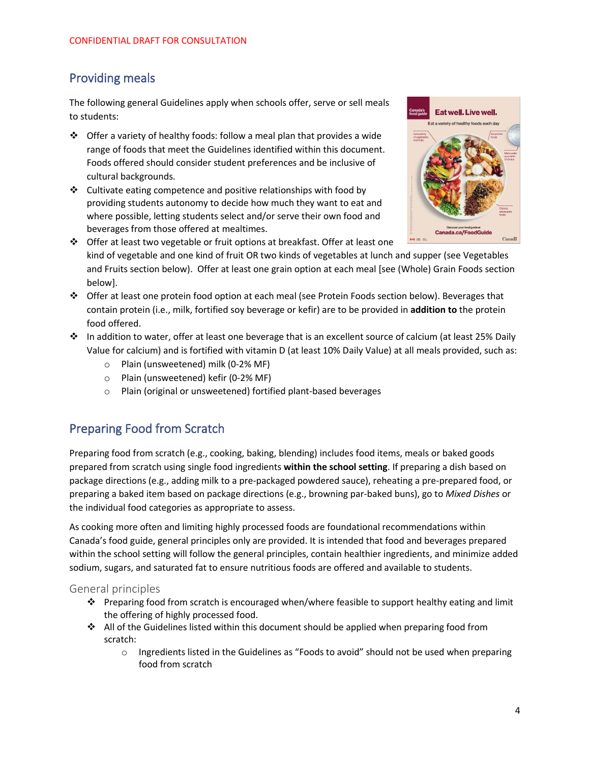## <span id="page-4-0"></span>Providing meals

The following general Guidelines apply when schools offer, serve or sell meals to students:

- ❖ Offer a variety of healthy foods: follow a meal plan that provides a wide range of foods that meet the Guidelines identified within this document. Foods offered should consider student preferences and be inclusive of cultural backgrounds.
- ❖ Cultivate eating competence and positive relationships with food by providing students autonomy to decide how much they want to eat and where possible, letting students select and/or serve their own food and beverages from those offered at mealtimes.



- ❖ Offer at least two vegetable or fruit options at breakfast. Offer at least one kind of vegetable and one kind of fruit OR two kinds of vegetables at lunch and supper (see Vegetables and Fruits section below). Offer at least one grain option at each meal [see (Whole) Grain Foods section below].
- ❖ Offer at least one protein food option at each meal (see Protein Foods section below). Beverages that contain protein (i.e., milk, fortified soy beverage or kefir) are to be provided in **addition to** the protein food offered.
- ❖ In addition to water, offer at least one beverage that is an excellent source of calcium (at least 25% Daily Value for calcium) and is fortified with vitamin D (at least 10% Daily Value) at all meals provided, such as:
	- o Plain (unsweetened) milk (0-2% MF)
	- o Plain (unsweetened) kefir (0-2% MF)
	- o Plain (original or unsweetened) fortified plant-based beverages

## <span id="page-4-1"></span>Preparing Food from Scratch

Preparing food from scratch (e.g., cooking, baking, blending) includes food items, meals or baked goods prepared from scratch using single food ingredients **within the school setting**. If preparing a dish based on package directions (e.g., adding milk to a pre-packaged powdered sauce), reheating a pre-prepared food, or preparing a baked item based on package directions (e.g., browning par-baked buns), go to *Mixed Dishes* or the individual food categories as appropriate to assess.

As cooking more often and limiting highly processed foods are foundational recommendations within Canada's food guide, general principles only are provided. It is intended that food and beverages prepared within the school setting will follow the general principles, contain healthier ingredients, and minimize added sodium, sugars, and saturated fat to ensure nutritious foods are offered and available to students.

#### General principles

- ❖ Preparing food from scratch is encouraged when/where feasible to support healthy eating and limit the offering of highly processed food.
- ❖ All of the Guidelines listed within this document should be applied when preparing food from scratch:
	- o Ingredients listed in the Guidelines as "Foods to avoid" should not be used when preparing food from scratch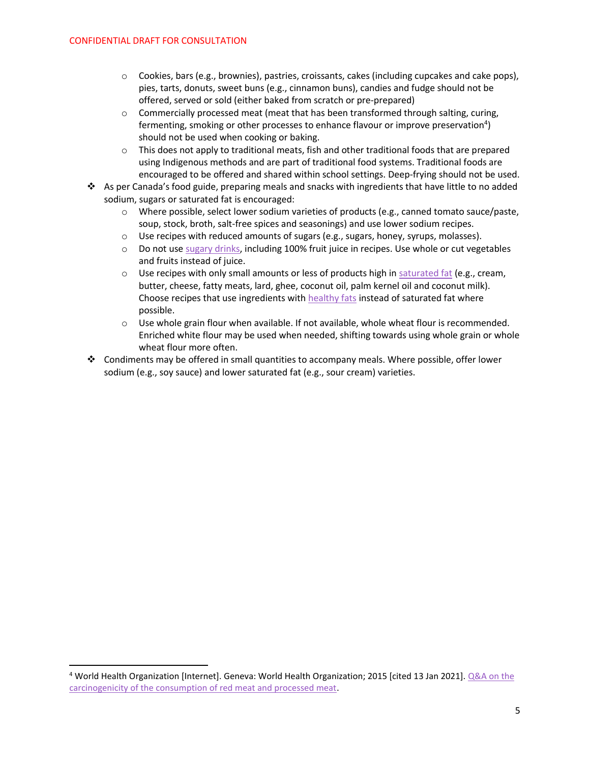- $\circ$  Cookies, bars (e.g., brownies), pastries, croissants, cakes (including cupcakes and cake pops), pies, tarts, donuts, sweet buns (e.g., cinnamon buns), candies and fudge should not be offered, served or sold (either baked from scratch or pre-prepared)
- $\circ$  Commercially processed meat (meat that has been transformed through salting, curing, fermenting, smoking or other processes to enhance flavour or improve preservation<sup>4</sup>) should not be used when cooking or baking.
- o This does not apply to traditional meats, fish and other traditional foods that are prepared using Indigenous methods and are part of traditional food systems. Traditional foods are encouraged to be offered and shared within school settings. Deep-frying should not be used.
- ❖ As per Canada's food guide, preparing meals and snacks with ingredients that have little to no added sodium, sugars or saturated fat is encouraged:
	- o Where possible, select lower sodium varieties of products (e.g., canned tomato sauce/paste, soup, stock, broth, salt-free spices and seasonings) and use lower sodium recipes.
	- $\circ$  Use recipes with reduced amounts of sugars (e.g., sugars, honey, syrups, molasses).
	- o Do not us[e sugary drinks,](https://food-guide.canada.ca/en/healthy-eating-recommendations/make-water-your-drink-of-choice/sugary-drinks/) including 100% fruit juice in recipes. Use whole or cut vegetables and fruits instead of juice.
	- $\circ$  Use recipes with only small amounts or less of products high in [saturated fat](https://food-guide.canada.ca/en/healthy-eating-recommendations/make-it-a-habit-to-eat-vegetables-fruit-whole-grains-and-protein-foods/choosing-foods-with-healthy-fats/) (e.g., cream, butter, cheese, fatty meats, lard, ghee, coconut oil, palm kernel oil and coconut milk). Choose recipes that use ingredients with [healthy fats](https://food-guide.canada.ca/en/healthy-eating-recommendations/make-it-a-habit-to-eat-vegetables-fruit-whole-grains-and-protein-foods/choosing-foods-with-healthy-fats/) instead of saturated fat where possible.
	- $\circ$  Use whole grain flour when available. If not available, whole wheat flour is recommended. Enriched white flour may be used when needed, shifting towards using whole grain or whole wheat flour more often.
- ❖ Condiments may be offered in small quantities to accompany meals. Where possible, offer lower sodium (e.g., soy sauce) and lower saturated fat (e.g., sour cream) varieties.

<sup>4</sup> World Health Organization [Internet]. Geneva: World Health Organization; 2015 [cited 13 Jan 2021]. [Q&A on the](https://www.who.int/news-room/q-a-detail/cancer-carcinogenicity-of-the-consumption-of-red-meat-and-processed-meat)  carcinogenicity [of the consumption of red meat and processed meat.](https://www.who.int/news-room/q-a-detail/cancer-carcinogenicity-of-the-consumption-of-red-meat-and-processed-meat)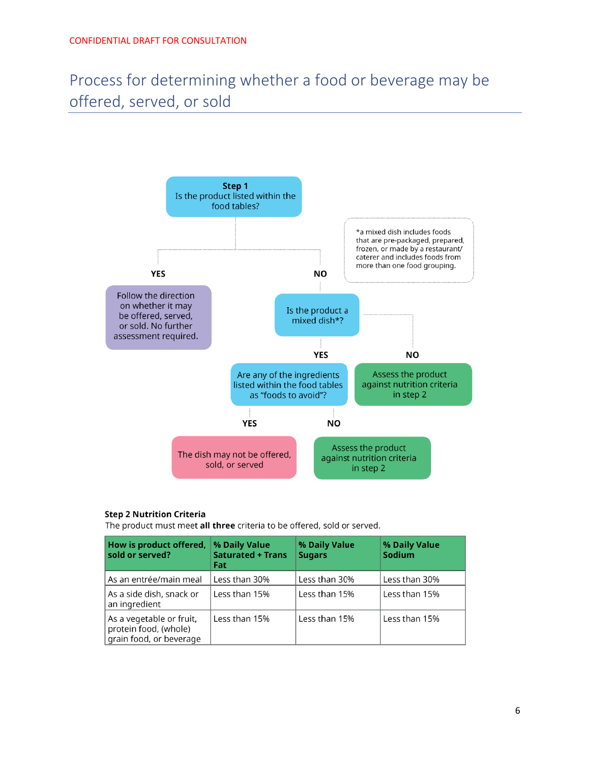Process for determining whether a food or beverage may be offered, served, or sold



#### **Step 2 Nutrition Criteria**

The product must meet all three criteria to be offered, sold or served.

| How is product offered,<br>sold or served?                                   | % Daily Value<br><b>Saturated + Trans</b><br>Fat | % Daily Value<br><b>Sugars</b> | % Daily Value<br>Sodium |
|------------------------------------------------------------------------------|--------------------------------------------------|--------------------------------|-------------------------|
| As an entrée/main meal                                                       | Less than 30%                                    | Less than 30%                  | Less than 30%           |
| As a side dish, snack or<br>an ingredient                                    | Less than 15%                                    | Less than 15%                  | Less than 15%           |
| As a vegetable or fruit,<br>protein food, (whole)<br>grain food, or beverage | Less than 15%                                    | Less than 15%                  | Less than 15%           |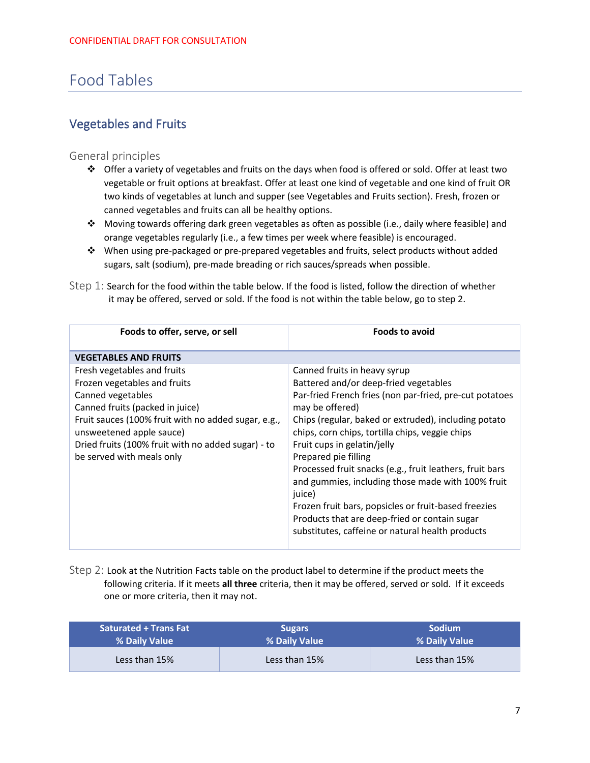## Food Tables

## <span id="page-7-0"></span>Vegetables and Fruits

#### General principles

- ❖ Offer a variety of vegetables and fruits on the days when food is offered or sold. Offer at least two vegetable or fruit options at breakfast. Offer at least one kind of vegetable and one kind of fruit OR two kinds of vegetables at lunch and supper (see Vegetables and Fruits section). Fresh, frozen or canned vegetables and fruits can all be healthy options.
- ❖ Moving towards offering dark green vegetables as often as possible (i.e., daily where feasible) and orange vegetables regularly (i.e., a few times per week where feasible) is encouraged.
- ❖ When using pre-packaged or pre-prepared vegetables and fruits, select products without added sugars, salt (sodium), pre-made breading or rich sauces/spreads when possible.

| Step 1: Search for the food within the table below. If the food is listed, follow the direction of whether |  |  |
|------------------------------------------------------------------------------------------------------------|--|--|
| it may be offered, served or sold. If the food is not within the table below, go to step 2.                |  |  |

| Foods to offer, serve, or sell                                                                                                                                                                                                                                                            | <b>Foods to avoid</b>                                                                                                                                                                                                                                                                                                                                                                                                                                                                                                                                                                                         |
|-------------------------------------------------------------------------------------------------------------------------------------------------------------------------------------------------------------------------------------------------------------------------------------------|---------------------------------------------------------------------------------------------------------------------------------------------------------------------------------------------------------------------------------------------------------------------------------------------------------------------------------------------------------------------------------------------------------------------------------------------------------------------------------------------------------------------------------------------------------------------------------------------------------------|
| <b>VEGETABLES AND FRUITS</b>                                                                                                                                                                                                                                                              |                                                                                                                                                                                                                                                                                                                                                                                                                                                                                                                                                                                                               |
| Fresh vegetables and fruits<br>Frozen vegetables and fruits<br>Canned vegetables<br>Canned fruits (packed in juice)<br>Fruit sauces (100% fruit with no added sugar, e.g.,<br>unsweetened apple sauce)<br>Dried fruits (100% fruit with no added sugar) - to<br>be served with meals only | Canned fruits in heavy syrup<br>Battered and/or deep-fried vegetables<br>Par-fried French fries (non par-fried, pre-cut potatoes<br>may be offered)<br>Chips (regular, baked or extruded), including potato<br>chips, corn chips, tortilla chips, veggie chips<br>Fruit cups in gelatin/jelly<br>Prepared pie filling<br>Processed fruit snacks (e.g., fruit leathers, fruit bars<br>and gummies, including those made with 100% fruit<br>juice)<br>Frozen fruit bars, popsicles or fruit-based freezies<br>Products that are deep-fried or contain sugar<br>substitutes, caffeine or natural health products |

Step 2: Look at the Nutrition Facts table on the product label to determine if the product meets the following criteria. If it meets **all three** criteria, then it may be offered, served or sold. If it exceeds one or more criteria, then it may not.

| <b>Saturated + Trans Fat read</b> | <b>Sugars</b> | <b>Sodium</b> |
|-----------------------------------|---------------|---------------|
| % Daily Value                     | % Daily Value | % Daily Value |
| Less than 15%                     | Less than 15% | Less than 15% |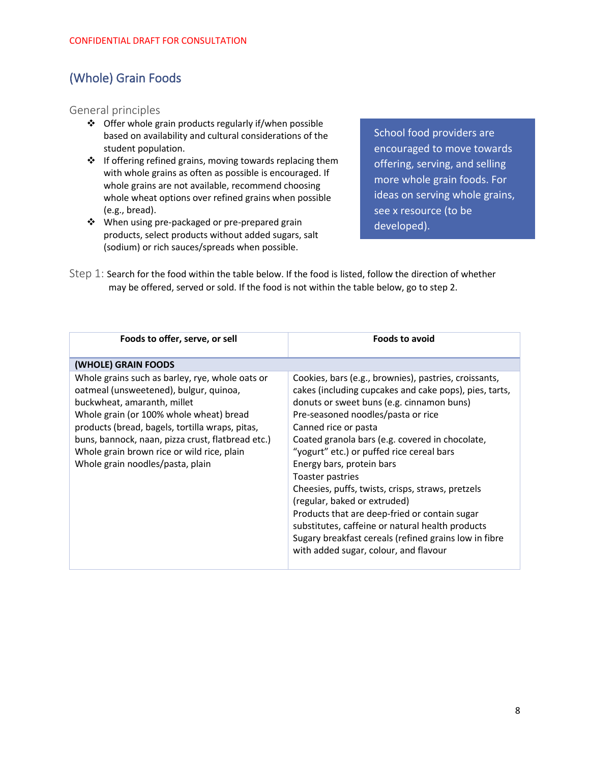## <span id="page-8-0"></span>(Whole) Grain Foods

General principles

- ❖ Offer whole grain products regularly if/when possible based on availability and cultural considerations of the student population.
- ❖ If offering refined grains, moving towards replacing them with whole grains as often as possible is encouraged. If whole grains are not available, recommend choosing whole wheat options over refined grains when possible (e.g., bread).
- ❖ When using pre-packaged or pre-prepared grain products, select products without added sugars, salt (sodium) or rich sauces/spreads when possible.

School food providers are encouraged to move towards offering, serving, and selling more whole grain foods. For ideas on serving whole grains, see x resource (to be developed).

Step 1: Search for the food within the table below. If the food is listed, follow the direction of whether may be offered, served or sold. If the food is not within the table below, go to step 2.

| Foods to offer, serve, or sell                                                                                                                                                                                                                                                                                                                                | <b>Foods to avoid</b>                                                                                                                                                                                                                                                                                                                                                                                                                                                                                                                                                                                                                                                   |
|---------------------------------------------------------------------------------------------------------------------------------------------------------------------------------------------------------------------------------------------------------------------------------------------------------------------------------------------------------------|-------------------------------------------------------------------------------------------------------------------------------------------------------------------------------------------------------------------------------------------------------------------------------------------------------------------------------------------------------------------------------------------------------------------------------------------------------------------------------------------------------------------------------------------------------------------------------------------------------------------------------------------------------------------------|
| (WHOLE) GRAIN FOODS                                                                                                                                                                                                                                                                                                                                           |                                                                                                                                                                                                                                                                                                                                                                                                                                                                                                                                                                                                                                                                         |
| Whole grains such as barley, rye, whole oats or<br>oatmeal (unsweetened), bulgur, quinoa,<br>buckwheat, amaranth, millet<br>Whole grain (or 100% whole wheat) bread<br>products (bread, bagels, tortilla wraps, pitas,<br>buns, bannock, naan, pizza crust, flatbread etc.)<br>Whole grain brown rice or wild rice, plain<br>Whole grain noodles/pasta, plain | Cookies, bars (e.g., brownies), pastries, croissants,<br>cakes (including cupcakes and cake pops), pies, tarts,<br>donuts or sweet buns (e.g. cinnamon buns)<br>Pre-seasoned noodles/pasta or rice<br>Canned rice or pasta<br>Coated granola bars (e.g. covered in chocolate,<br>"yogurt" etc.) or puffed rice cereal bars<br>Energy bars, protein bars<br>Toaster pastries<br>Cheesies, puffs, twists, crisps, straws, pretzels<br>(regular, baked or extruded)<br>Products that are deep-fried or contain sugar<br>substitutes, caffeine or natural health products<br>Sugary breakfast cereals (refined grains low in fibre<br>with added sugar, colour, and flavour |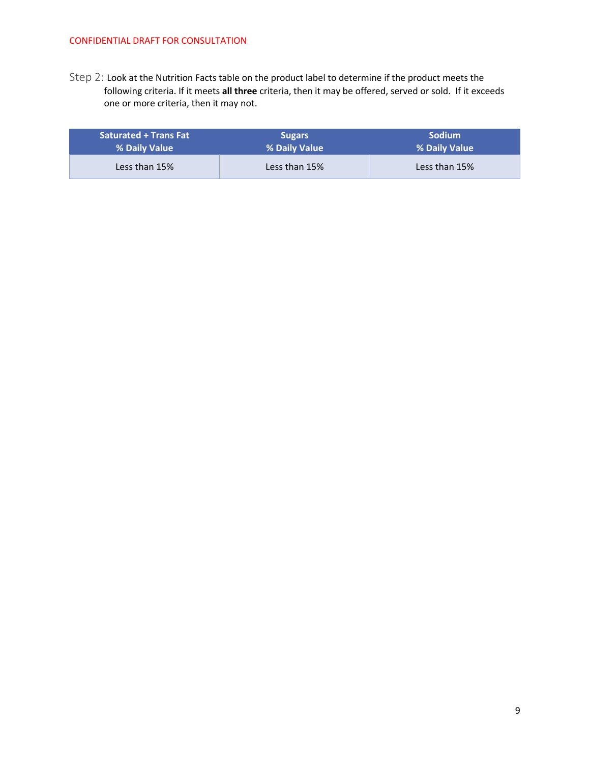Step 2: Look at the Nutrition Facts table on the product label to determine if the product meets the following criteria. If it meets **all three** criteria, then it may be offered, served or sold. If it exceeds one or more criteria, then it may not.

| <b>Saturated + Trans Fat</b> | <b>Sugars</b> | <b>Sodium</b> |
|------------------------------|---------------|---------------|
| % Daily Value                | % Daily Value | % Daily Value |
| Less than 15%                | Less than 15% | Less than 15% |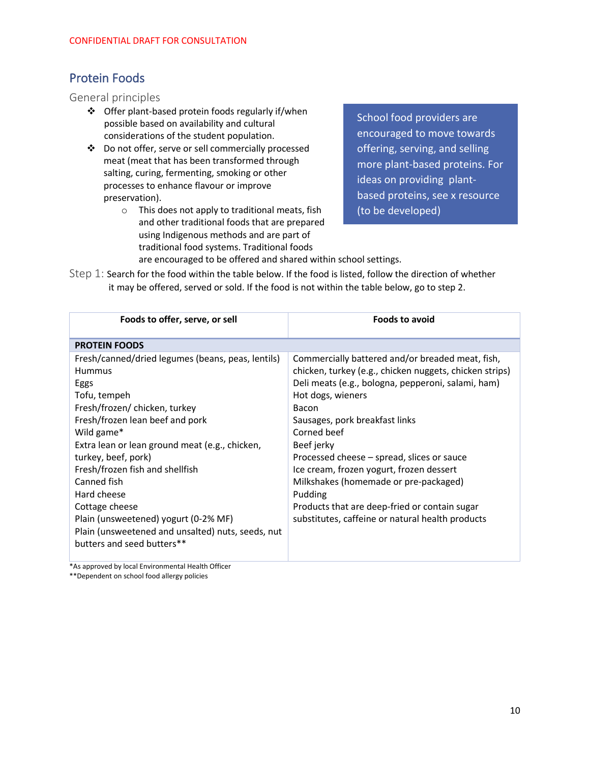## <span id="page-10-0"></span>Protein Foods

#### General principles

- ❖ Offer plant-based protein foods regularly if/when possible based on availability and cultural considerations of the student population.
- ❖ Do not offer, serve or sell commercially processed meat (meat that has been transformed through salting, curing, fermenting, smoking or other processes to enhance flavour or improve preservation).
	- o This does not apply to traditional meats, fish and other traditional foods that are prepared using Indigenous methods and are part of traditional food systems. Traditional foods

School food providers are encouraged to move towards offering, serving, and selling more plant-based proteins. For ideas on providing plantbased proteins, see x resource (to be developed)

are encouraged to be offered and shared within school settings.

Step 1: Search for the food within the table below. If the food is listed, follow the direction of whether it may be offered, served or sold. If the food is not within the table below, go to step 2.

| <b>PROTEIN FOODS</b><br>Fresh/canned/dried legumes (beans, peas, lentils)<br>Commercially battered and/or breaded meat, fish,<br>chicken, turkey (e.g., chicken nuggets, chicken strips)<br><b>Hummus</b>                                                                                                                                                                                                                                                                                                                                                                                                                                                                                                                                                                                           |  |
|-----------------------------------------------------------------------------------------------------------------------------------------------------------------------------------------------------------------------------------------------------------------------------------------------------------------------------------------------------------------------------------------------------------------------------------------------------------------------------------------------------------------------------------------------------------------------------------------------------------------------------------------------------------------------------------------------------------------------------------------------------------------------------------------------------|--|
|                                                                                                                                                                                                                                                                                                                                                                                                                                                                                                                                                                                                                                                                                                                                                                                                     |  |
| Deli meats (e.g., bologna, pepperoni, salami, ham)<br>Eggs<br>Hot dogs, wieners<br>Tofu, tempeh<br>Fresh/frozen/ chicken, turkey<br>Bacon<br>Fresh/frozen lean beef and pork<br>Sausages, pork breakfast links<br>Wild game*<br>Corned beef<br>Extra lean or lean ground meat (e.g., chicken,<br>Beef jerky<br>turkey, beef, pork)<br>Processed cheese – spread, slices or sauce<br>Fresh/frozen fish and shellfish<br>Ice cream, frozen yogurt, frozen dessert<br>Canned fish<br>Milkshakes (homemade or pre-packaged)<br>Hard cheese<br>Pudding<br>Cottage cheese<br>Products that are deep-fried or contain sugar<br>Plain (unsweetened) yogurt (0-2% MF)<br>substitutes, caffeine or natural health products<br>Plain (unsweetened and unsalted) nuts, seeds, nut<br>butters and seed butters** |  |

\*As approved by local Environmental Health Officer

\*\*Dependent on school food allergy policies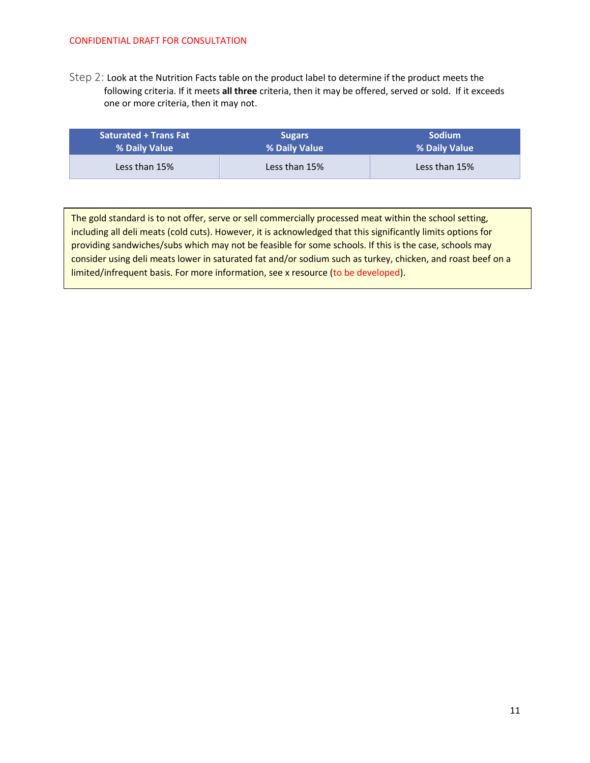Step 2: Look at the Nutrition Facts table on the product label to determine if the product meets the following criteria. If it meets **all three** criteria, then it may be offered, served or sold. If it exceeds one or more criteria, then it may not.

| <b>Saturated + Trans Fat</b> | <b>Sugars</b> | <b>Sodium</b> |
|------------------------------|---------------|---------------|
| % Daily Value                | % Daily Value | % Daily Value |
| Less than 15%                | Less than 15% | Less than 15% |

The gold standard is to not offer, serve or sell commercially processed meat within the school setting, including all deli meats (cold cuts). However, it is acknowledged that this significantly limits options for providing sandwiches/subs which may not be feasible for some schools. If this is the case, schools may consider using deli meats lower in saturated fat and/or sodium such as turkey, chicken, and roast beef on a limited/infrequent basis. For more information, see x resource (to be developed).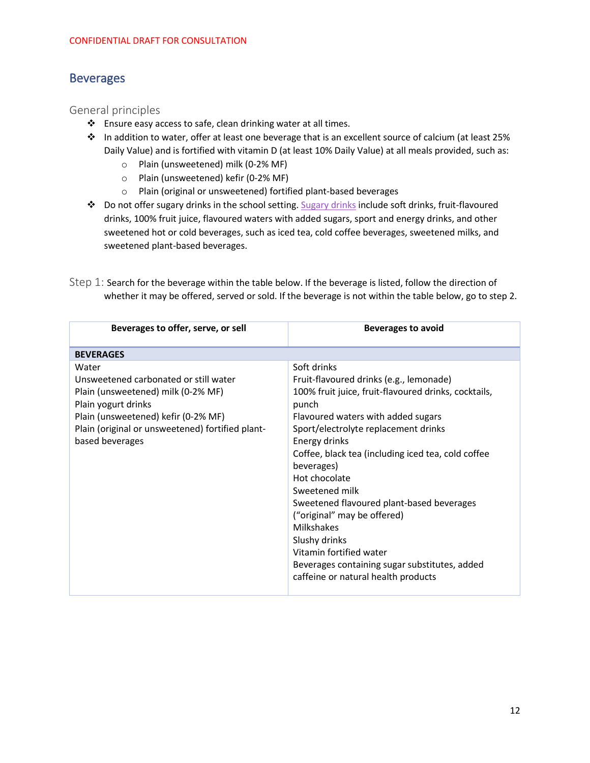#### <span id="page-12-0"></span>**Beverages**

#### General principles

- ❖ Ensure easy access to safe, clean drinking water at all times.
- ❖ In addition to water, offer at least one beverage that is an excellent source of calcium (at least 25% Daily Value) and is fortified with vitamin D (at least 10% Daily Value) at all meals provided, such as:
	- o Plain (unsweetened) milk (0-2% MF)
	- o Plain (unsweetened) kefir (0-2% MF)
	- o Plain (original or unsweetened) fortified plant-based beverages
- ❖ Do not offer sugary drinks in the school setting[. Sugary drinks](https://food-guide.canada.ca/en/healthy-eating-recommendations/make-water-your-drink-of-choice/sugary-drinks/) include soft drinks, fruit-flavoured drinks, 100% fruit juice, flavoured waters with added sugars, sport and energy drinks, and other sweetened hot or cold beverages, such as iced tea, cold coffee beverages, sweetened milks, and sweetened plant-based beverages.

| Step 1: Search for the beverage within the table below. If the beverage is listed, follow the direction of |  |
|------------------------------------------------------------------------------------------------------------|--|
| whether it may be offered, served or sold. If the beverage is not within the table below, go to step 2.    |  |

| Beverages to offer, serve, or sell                                                                                                                                                                                        | <b>Beverages to avoid</b>                                                                                                                                                                                                                                                                                                                                                                                                                                                                                            |
|---------------------------------------------------------------------------------------------------------------------------------------------------------------------------------------------------------------------------|----------------------------------------------------------------------------------------------------------------------------------------------------------------------------------------------------------------------------------------------------------------------------------------------------------------------------------------------------------------------------------------------------------------------------------------------------------------------------------------------------------------------|
| <b>BEVERAGES</b>                                                                                                                                                                                                          |                                                                                                                                                                                                                                                                                                                                                                                                                                                                                                                      |
| Water<br>Unsweetened carbonated or still water<br>Plain (unsweetened) milk (0-2% MF)<br>Plain yogurt drinks<br>Plain (unsweetened) kefir (0-2% MF)<br>Plain (original or unsweetened) fortified plant-<br>based beverages | Soft drinks<br>Fruit-flavoured drinks (e.g., lemonade)<br>100% fruit juice, fruit-flavoured drinks, cocktails,<br>punch<br>Flavoured waters with added sugars<br>Sport/electrolyte replacement drinks<br>Energy drinks<br>Coffee, black tea (including iced tea, cold coffee<br>beverages)<br>Hot chocolate<br>Sweetened milk<br>Sweetened flavoured plant-based beverages<br>("original" may be offered)<br>Milkshakes<br>Slushy drinks<br>Vitamin fortified water<br>Beverages containing sugar substitutes, added |
|                                                                                                                                                                                                                           | caffeine or natural health products                                                                                                                                                                                                                                                                                                                                                                                                                                                                                  |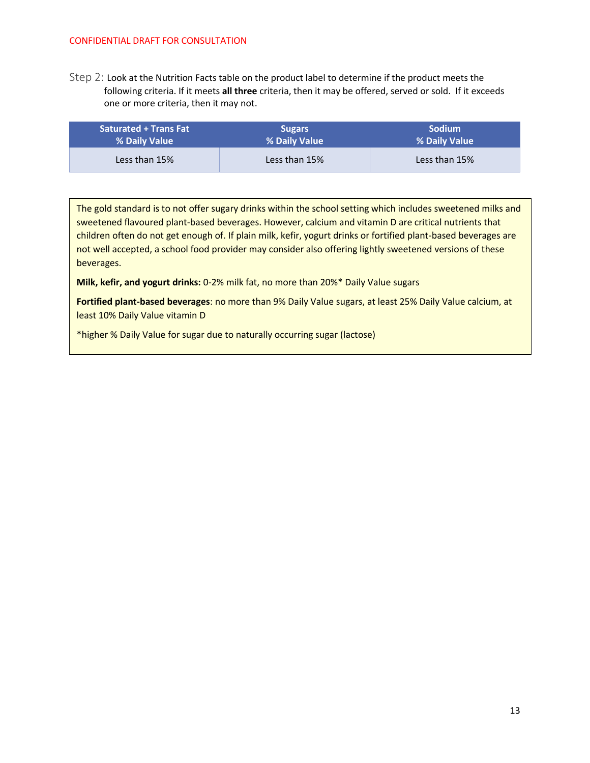Step 2: Look at the Nutrition Facts table on the product label to determine if the product meets the following criteria. If it meets **all three** criteria, then it may be offered, served or sold. If it exceeds one or more criteria, then it may not.

| <b>Saturated + Trans Fat</b> | <b>Sugars</b> | <b>Sodium</b> |
|------------------------------|---------------|---------------|
| % Daily Value                | % Daily Value | % Daily Value |
| Less than 15%                | Less than 15% | Less than 15% |

The gold standard is to not offer sugary drinks within the school setting which includes sweetened milks and sweetened flavoured plant-based beverages. However, calcium and vitamin D are critical nutrients that children often do not get enough of. If plain milk, kefir, yogurt drinks or fortified plant-based beverages are not well accepted, a school food provider may consider also offering lightly sweetened versions of these beverages.

**Milk, kefir, and yogurt drinks:** 0-2% milk fat, no more than 20%\* Daily Value sugars

**Fortified plant-based beverages**: no more than 9% Daily Value sugars, at least 25% Daily Value calcium, at least 10% Daily Value vitamin D

\*higher % Daily Value for sugar due to naturally occurring sugar (lactose)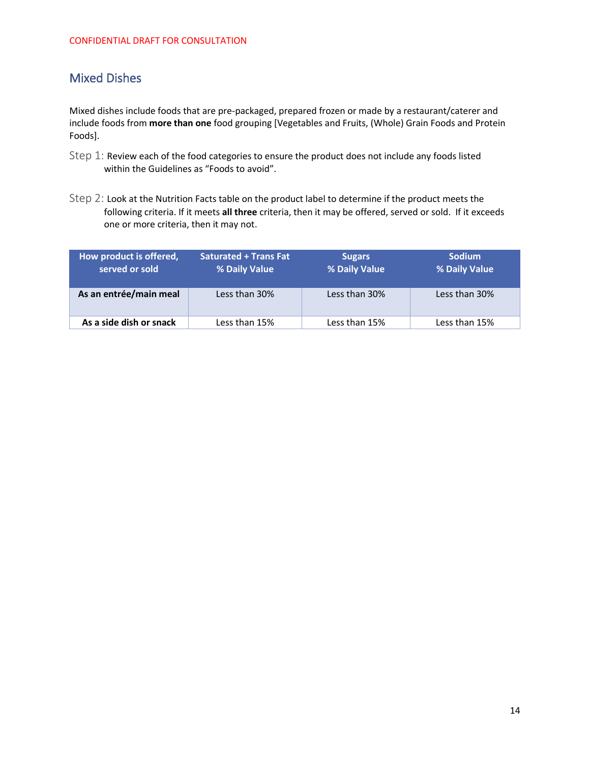## <span id="page-14-0"></span>Mixed Dishes

Mixed dishes include foods that are pre-packaged, prepared frozen or made by a restaurant/caterer and include foods from **more than one** food grouping [Vegetables and Fruits, (Whole) Grain Foods and Protein Foods].

- Step 1: Review each of the food categories to ensure the product does not include any foods listed within the Guidelines as "Foods to avoid".
- Step 2: Look at the Nutrition Facts table on the product label to determine if the product meets the following criteria. If it meets **all three** criteria, then it may be offered, served or sold. If it exceeds one or more criteria, then it may not.

| How product is offered,<br>served or sold | <b>Saturated + Trans Fat</b><br>% Daily Value | <b>Sugars</b><br>% Daily Value | <b>Sodium</b><br>% Daily Value |
|-------------------------------------------|-----------------------------------------------|--------------------------------|--------------------------------|
| As an entrée/main meal                    | Less than 30%                                 | Less than 30%                  | Less than 30%                  |
| As a side dish or snack                   | Less than 15%                                 | Less than 15%                  | Less than 15%                  |